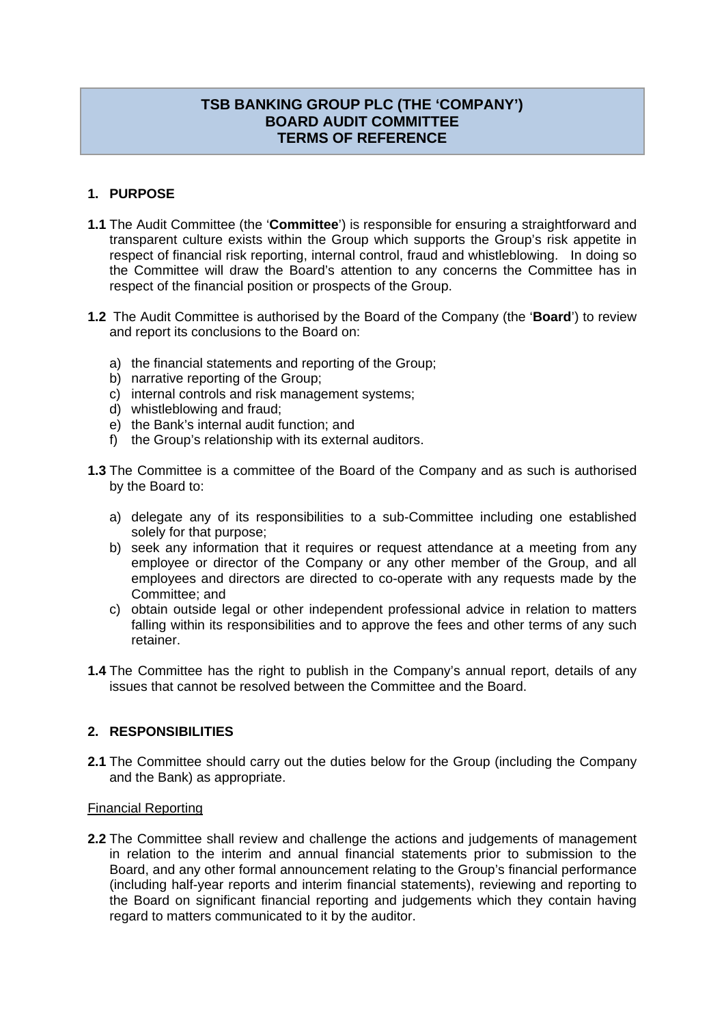# **TSB BANKING GROUP PLC (THE 'COMPANY') BOARD AUDIT COMMITTEE TERMS OF REFERENCE**

## **1. PURPOSE**

- **1.1** The Audit Committee (the '**Committee**') is responsible for ensuring a straightforward and transparent culture exists within the Group which supports the Group's risk appetite in respect of financial risk reporting, internal control, fraud and whistleblowing. In doing so the Committee will draw the Board's attention to any concerns the Committee has in respect of the financial position or prospects of the Group.
- **1.2** The Audit Committee is authorised by the Board of the Company (the '**Board**') to review and report its conclusions to the Board on:
	- a) the financial statements and reporting of the Group;
	- b) narrative reporting of the Group;
	- c) internal controls and risk management systems;
	- d) whistleblowing and fraud;
	- e) the Bank's internal audit function; and
	- f) the Group's relationship with its external auditors.
- **1.3** The Committee is a committee of the Board of the Company and as such is authorised by the Board to:
	- a) delegate any of its responsibilities to a sub-Committee including one established solely for that purpose;
	- b) seek any information that it requires or request attendance at a meeting from any employee or director of the Company or any other member of the Group, and all employees and directors are directed to co-operate with any requests made by the Committee; and
	- c) obtain outside legal or other independent professional advice in relation to matters falling within its responsibilities and to approve the fees and other terms of any such retainer.
- **1.4** The Committee has the right to publish in the Company's annual report, details of any issues that cannot be resolved between the Committee and the Board.

### **2. RESPONSIBILITIES**

**2.1** The Committee should carry out the duties below for the Group (including the Company and the Bank) as appropriate.

### Financial Reporting

**2.2** The Committee shall review and challenge the actions and judgements of management in relation to the interim and annual financial statements prior to submission to the Board, and any other formal announcement relating to the Group's financial performance (including half-year reports and interim financial statements), reviewing and reporting to the Board on significant financial reporting and judgements which they contain having regard to matters communicated to it by the auditor.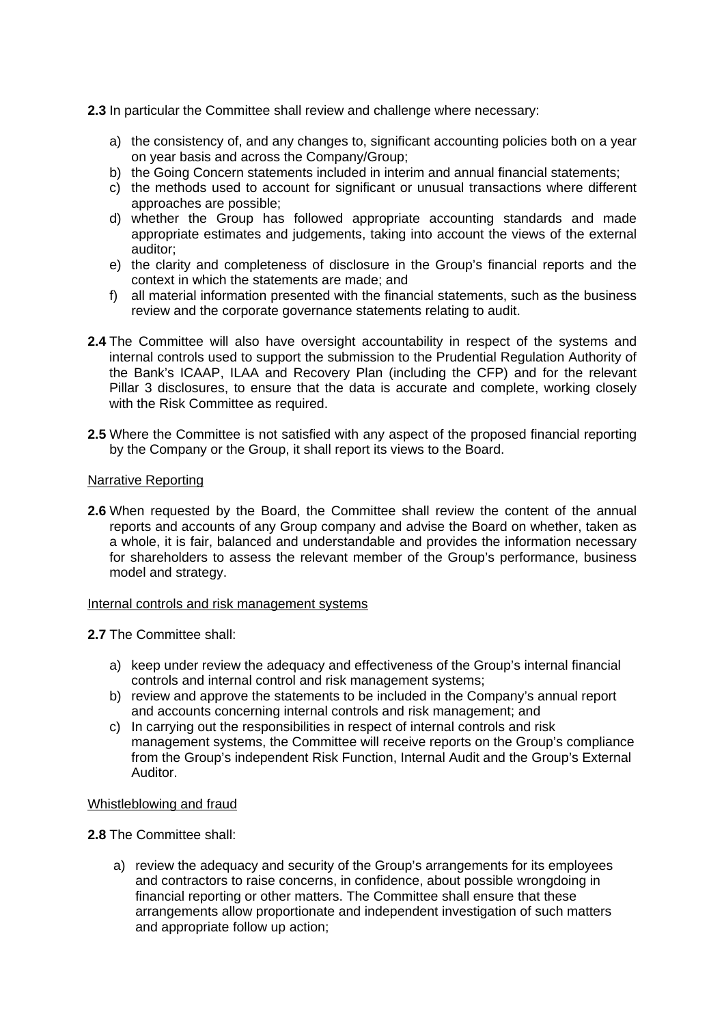**2.3** In particular the Committee shall review and challenge where necessary:

- a) the consistency of, and any changes to, significant accounting policies both on a year on year basis and across the Company/Group;
- b) the Going Concern statements included in interim and annual financial statements;
- c) the methods used to account for significant or unusual transactions where different approaches are possible;
- d) whether the Group has followed appropriate accounting standards and made appropriate estimates and judgements, taking into account the views of the external auditor;
- e) the clarity and completeness of disclosure in the Group's financial reports and the context in which the statements are made; and
- f) all material information presented with the financial statements, such as the business review and the corporate governance statements relating to audit.
- **2.4** The Committee will also have oversight accountability in respect of the systems and internal controls used to support the submission to the Prudential Regulation Authority of the Bank's ICAAP, ILAA and Recovery Plan (including the CFP) and for the relevant Pillar 3 disclosures, to ensure that the data is accurate and complete, working closely with the Risk Committee as required.
- **2.5** Where the Committee is not satisfied with any aspect of the proposed financial reporting by the Company or the Group, it shall report its views to the Board.

#### Narrative Reporting

**2.6** When requested by the Board, the Committee shall review the content of the annual reports and accounts of any Group company and advise the Board on whether, taken as a whole, it is fair, balanced and understandable and provides the information necessary for shareholders to assess the relevant member of the Group's performance, business model and strategy.

#### Internal controls and risk management systems

**2.7** The Committee shall:

- a) keep under review the adequacy and effectiveness of the Group's internal financial controls and internal control and risk management systems;
- b) review and approve the statements to be included in the Company's annual report and accounts concerning internal controls and risk management; and
- c) In carrying out the responsibilities in respect of internal controls and risk management systems, the Committee will receive reports on the Group's compliance from the Group's independent Risk Function, Internal Audit and the Group's External Auditor.

#### Whistleblowing and fraud

**2.8** The Committee shall:

a) review the adequacy and security of the Group's arrangements for its employees and contractors to raise concerns, in confidence, about possible wrongdoing in financial reporting or other matters. The Committee shall ensure that these arrangements allow proportionate and independent investigation of such matters and appropriate follow up action;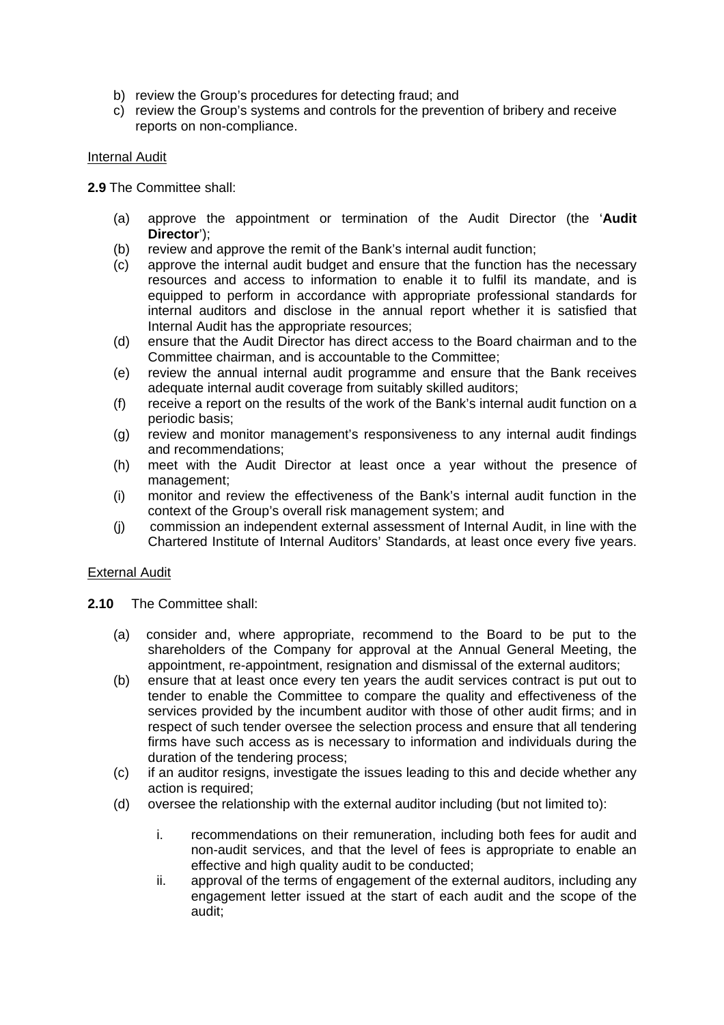- b) review the Group's procedures for detecting fraud; and
- c) review the Group's systems and controls for the prevention of bribery and receive reports on non-compliance.

### Internal Audit

**2.9** The Committee shall:

- (a) approve the appointment or termination of the Audit Director (the '**Audit Director**');
- (b) review and approve the remit of the Bank's internal audit function;
- (c) approve the internal audit budget and ensure that the function has the necessary resources and access to information to enable it to fulfil its mandate, and is equipped to perform in accordance with appropriate professional standards for internal auditors and disclose in the annual report whether it is satisfied that Internal Audit has the appropriate resources;
- (d) ensure that the Audit Director has direct access to the Board chairman and to the Committee chairman, and is accountable to the Committee;
- (e) review the annual internal audit programme and ensure that the Bank receives adequate internal audit coverage from suitably skilled auditors;
- (f) receive a report on the results of the work of the Bank's internal audit function on a periodic basis;
- (g) review and monitor management's responsiveness to any internal audit findings and recommendations;
- (h) meet with the Audit Director at least once a year without the presence of management;
- (i) monitor and review the effectiveness of the Bank's internal audit function in the context of the Group's overall risk management system; and
- (j) commission an independent external assessment of Internal Audit, in line with the Chartered Institute of Internal Auditors' Standards, at least once every five years.

### External Audit

- **2.10** The Committee shall:
	- (a) consider and, where appropriate, recommend to the Board to be put to the shareholders of the Company for approval at the Annual General Meeting, the appointment, re-appointment, resignation and dismissal of the external auditors;
	- (b) ensure that at least once every ten years the audit services contract is put out to tender to enable the Committee to compare the quality and effectiveness of the services provided by the incumbent auditor with those of other audit firms; and in respect of such tender oversee the selection process and ensure that all tendering firms have such access as is necessary to information and individuals during the duration of the tendering process;
	- (c) if an auditor resigns, investigate the issues leading to this and decide whether any action is required;
	- (d) oversee the relationship with the external auditor including (but not limited to):
		- i. recommendations on their remuneration, including both fees for audit and non-audit services, and that the level of fees is appropriate to enable an effective and high quality audit to be conducted;
		- ii. approval of the terms of engagement of the external auditors, including any engagement letter issued at the start of each audit and the scope of the audit;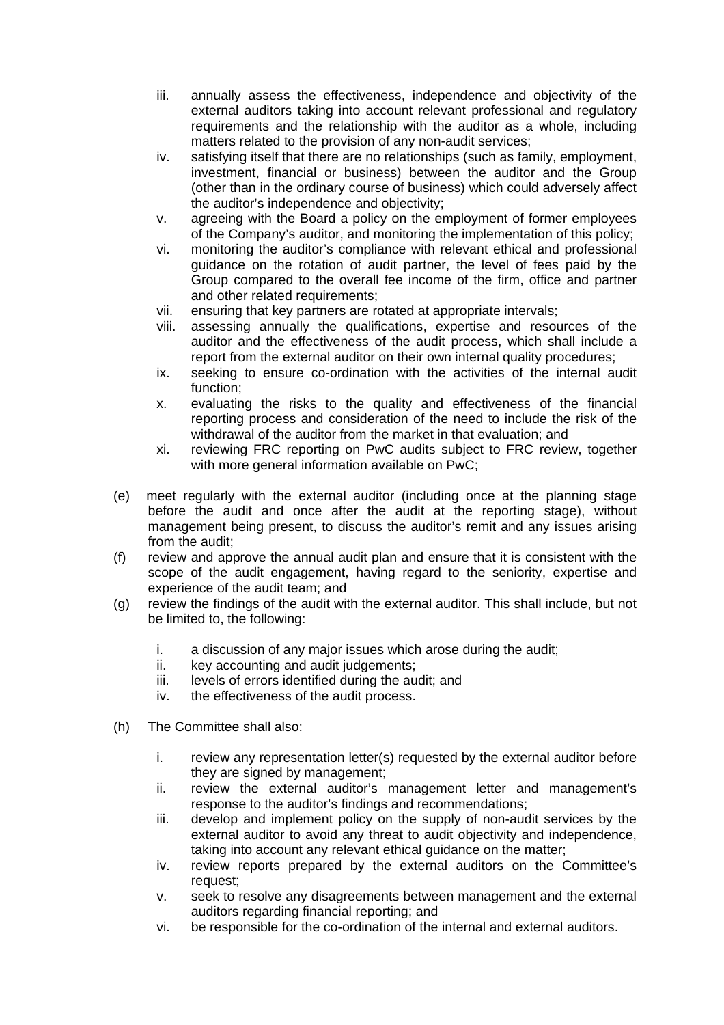- iii. annually assess the effectiveness, independence and objectivity of the external auditors taking into account relevant professional and regulatory requirements and the relationship with the auditor as a whole, including matters related to the provision of any non-audit services;
- iv. satisfying itself that there are no relationships (such as family, employment, investment, financial or business) between the auditor and the Group (other than in the ordinary course of business) which could adversely affect the auditor's independence and objectivity;
- v. agreeing with the Board a policy on the employment of former employees of the Company's auditor, and monitoring the implementation of this policy;
- vi. monitoring the auditor's compliance with relevant ethical and professional guidance on the rotation of audit partner, the level of fees paid by the Group compared to the overall fee income of the firm, office and partner and other related requirements;
- vii. ensuring that key partners are rotated at appropriate intervals;
- viii. assessing annually the qualifications, expertise and resources of the auditor and the effectiveness of the audit process, which shall include a report from the external auditor on their own internal quality procedures;
- ix. seeking to ensure co-ordination with the activities of the internal audit function;
- x. evaluating the risks to the quality and effectiveness of the financial reporting process and consideration of the need to include the risk of the withdrawal of the auditor from the market in that evaluation; and
- xi. reviewing FRC reporting on PwC audits subject to FRC review, together with more general information available on PwC;
- (e) meet regularly with the external auditor (including once at the planning stage before the audit and once after the audit at the reporting stage), without management being present, to discuss the auditor's remit and any issues arising from the audit;
- (f) review and approve the annual audit plan and ensure that it is consistent with the scope of the audit engagement, having regard to the seniority, expertise and experience of the audit team; and
- (g) review the findings of the audit with the external auditor. This shall include, but not be limited to, the following:
	- i. a discussion of any major issues which arose during the audit;
	- ii. key accounting and audit judgements;
	- iii. levels of errors identified during the audit; and
	- iv. the effectiveness of the audit process.
- (h) The Committee shall also:
	- i. review any representation letter(s) requested by the external auditor before they are signed by management;
	- ii. review the external auditor's management letter and management's response to the auditor's findings and recommendations;
	- iii. develop and implement policy on the supply of non-audit services by the external auditor to avoid any threat to audit objectivity and independence, taking into account any relevant ethical guidance on the matter;
	- iv. review reports prepared by the external auditors on the Committee's request;
	- v. seek to resolve any disagreements between management and the external auditors regarding financial reporting; and
	- vi. be responsible for the co-ordination of the internal and external auditors.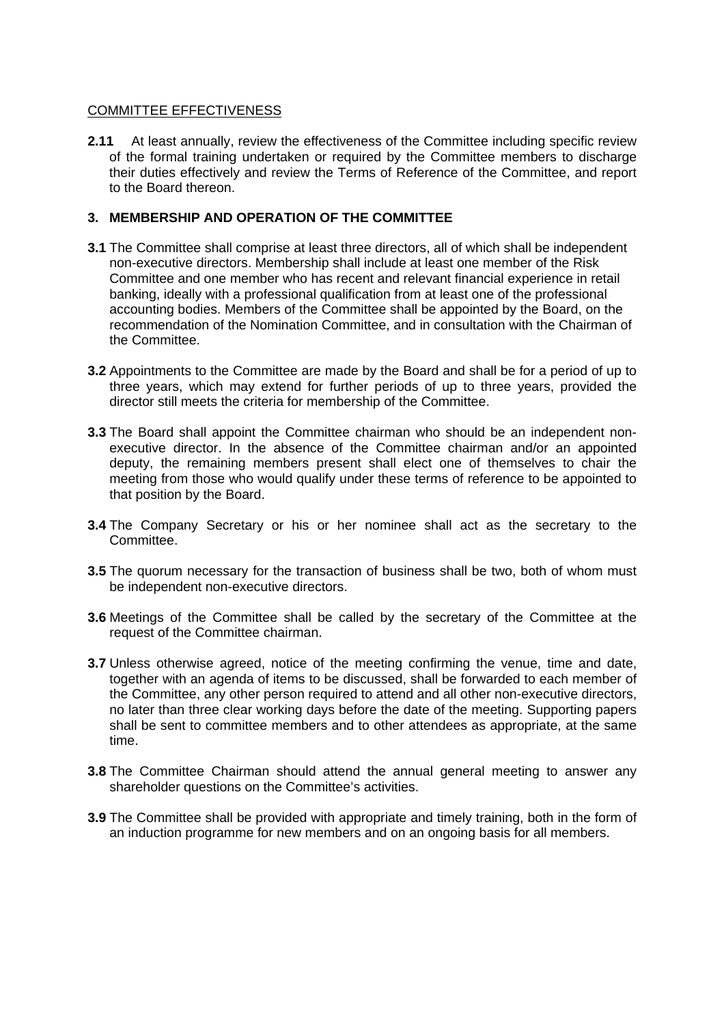## COMMITTEE EFFECTIVENESS

**2.11** At least annually, review the effectiveness of the Committee including specific review of the formal training undertaken or required by the Committee members to discharge their duties effectively and review the Terms of Reference of the Committee, and report to the Board thereon.

## **3. MEMBERSHIP AND OPERATION OF THE COMMITTEE**

- **3.1** The Committee shall comprise at least three directors, all of which shall be independent non-executive directors. Membership shall include at least one member of the Risk Committee and one member who has recent and relevant financial experience in retail banking, ideally with a professional qualification from at least one of the professional accounting bodies. Members of the Committee shall be appointed by the Board, on the recommendation of the Nomination Committee, and in consultation with the Chairman of the Committee.
- **3.2** Appointments to the Committee are made by the Board and shall be for a period of up to three years, which may extend for further periods of up to three years, provided the director still meets the criteria for membership of the Committee.
- **3.3** The Board shall appoint the Committee chairman who should be an independent nonexecutive director. In the absence of the Committee chairman and/or an appointed deputy, the remaining members present shall elect one of themselves to chair the meeting from those who would qualify under these terms of reference to be appointed to that position by the Board.
- **3.4** The Company Secretary or his or her nominee shall act as the secretary to the Committee.
- **3.5** The quorum necessary for the transaction of business shall be two, both of whom must be independent non-executive directors.
- **3.6** Meetings of the Committee shall be called by the secretary of the Committee at the request of the Committee chairman.
- **3.7** Unless otherwise agreed, notice of the meeting confirming the venue, time and date, together with an agenda of items to be discussed, shall be forwarded to each member of the Committee, any other person required to attend and all other non-executive directors, no later than three clear working days before the date of the meeting. Supporting papers shall be sent to committee members and to other attendees as appropriate, at the same time.
- **3.8** The Committee Chairman should attend the annual general meeting to answer any shareholder questions on the Committee's activities.
- **3.9** The Committee shall be provided with appropriate and timely training, both in the form of an induction programme for new members and on an ongoing basis for all members.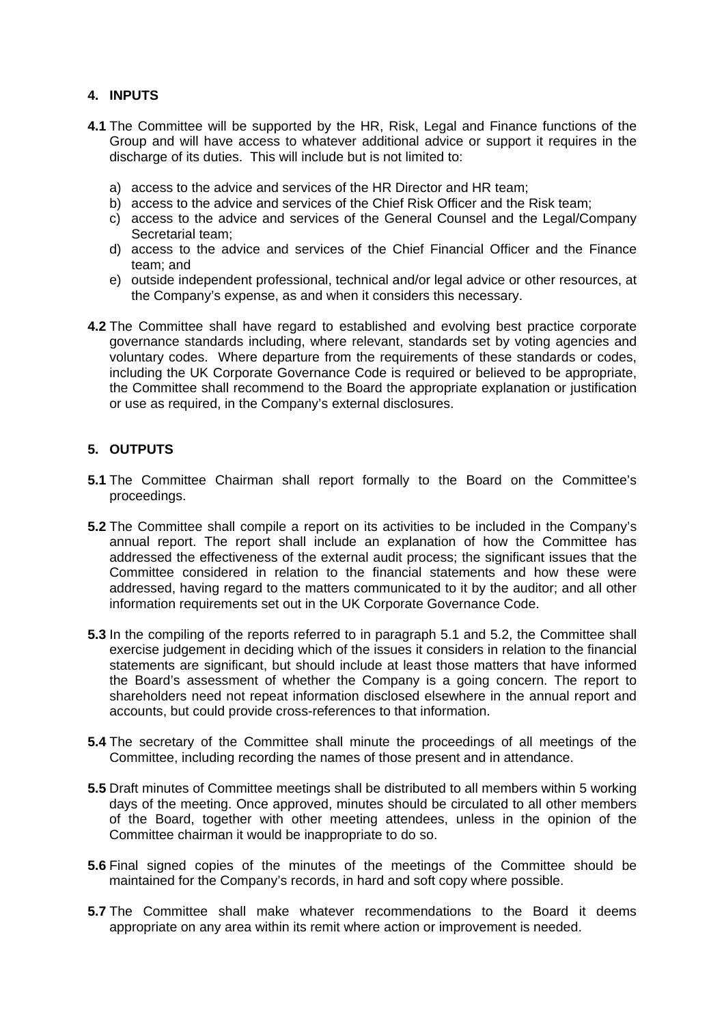## **4. INPUTS**

- **4.1** The Committee will be supported by the HR, Risk, Legal and Finance functions of the Group and will have access to whatever additional advice or support it requires in the discharge of its duties. This will include but is not limited to:
	- a) access to the advice and services of the HR Director and HR team;
	- b) access to the advice and services of the Chief Risk Officer and the Risk team;
	- c) access to the advice and services of the General Counsel and the Legal/Company Secretarial team;
	- d) access to the advice and services of the Chief Financial Officer and the Finance team; and
	- e) outside independent professional, technical and/or legal advice or other resources, at the Company's expense, as and when it considers this necessary.
- **4.2** The Committee shall have regard to established and evolving best practice corporate governance standards including, where relevant, standards set by voting agencies and voluntary codes. Where departure from the requirements of these standards or codes, including the UK Corporate Governance Code is required or believed to be appropriate, the Committee shall recommend to the Board the appropriate explanation or justification or use as required, in the Company's external disclosures.

# **5. OUTPUTS**

- **5.1** The Committee Chairman shall report formally to the Board on the Committee's proceedings.
- **5.2** The Committee shall compile a report on its activities to be included in the Company's annual report. The report shall include an explanation of how the Committee has addressed the effectiveness of the external audit process; the significant issues that the Committee considered in relation to the financial statements and how these were addressed, having regard to the matters communicated to it by the auditor; and all other information requirements set out in the UK Corporate Governance Code.
- **5.3** In the compiling of the reports referred to in paragraph 5.1 and 5.2, the Committee shall exercise judgement in deciding which of the issues it considers in relation to the financial statements are significant, but should include at least those matters that have informed the Board's assessment of whether the Company is a going concern. The report to shareholders need not repeat information disclosed elsewhere in the annual report and accounts, but could provide cross-references to that information.
- **5.4** The secretary of the Committee shall minute the proceedings of all meetings of the Committee, including recording the names of those present and in attendance.
- **5.5** Draft minutes of Committee meetings shall be distributed to all members within 5 working days of the meeting. Once approved, minutes should be circulated to all other members of the Board, together with other meeting attendees, unless in the opinion of the Committee chairman it would be inappropriate to do so.
- **5.6** Final signed copies of the minutes of the meetings of the Committee should be maintained for the Company's records, in hard and soft copy where possible.
- **5.7** The Committee shall make whatever recommendations to the Board it deems appropriate on any area within its remit where action or improvement is needed.